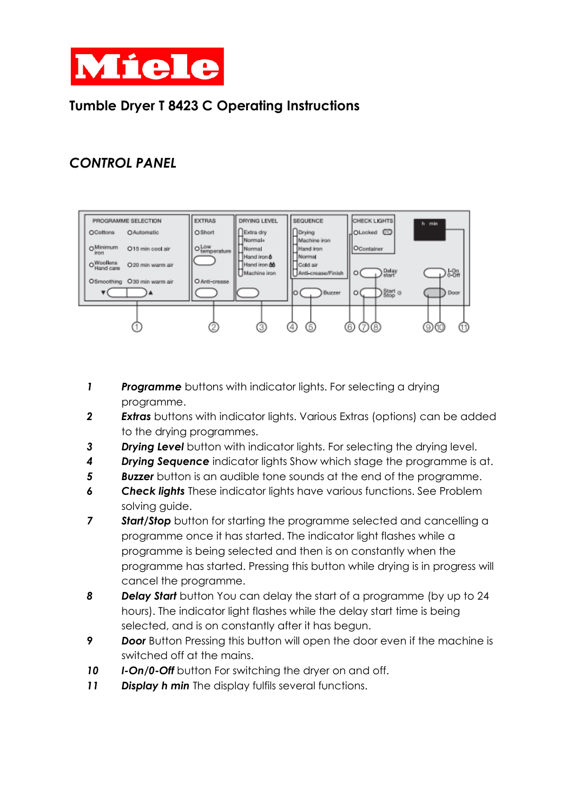

## **Tumble Dryer T 8423 C Operating Instructions**

## *CONTROL PANEL*



- *1 Programme* buttons with indicator lights. For selecting a drying programme.
- *2 Extras* buttons with indicator lights. Various Extras (options) can be added to the drying programmes.
- *3 Drying Level* button with indicator lights. For selecting the drying level.
- *4 Drying Sequence* indicator lights Show which stage the programme is at.
- **5 Buzzer** button is an audible tone sounds at the end of the programme.
- *6 Check lights* These indicator lights have various functions. See Problem solving guide.
- **7 Start/Stop** button for starting the programme selected and cancelling a programme once it has started. The indicator light flashes while a programme is being selected and then is on constantly when the programme has started. Pressing this button while drying is in progress will cancel the programme.
- *8 Delay Start* button You can delay the start of a programme (by up to 24 hours). The indicator light flashes while the delay start time is being selected, and is on constantly after it has begun.
- **9 Door** Button Pressing this button will open the door even if the machine is switched off at the mains.
- 10 **I-On/0-Off** button For switching the dryer on and off.
- *11 Display h min* The display fulfils several functions.